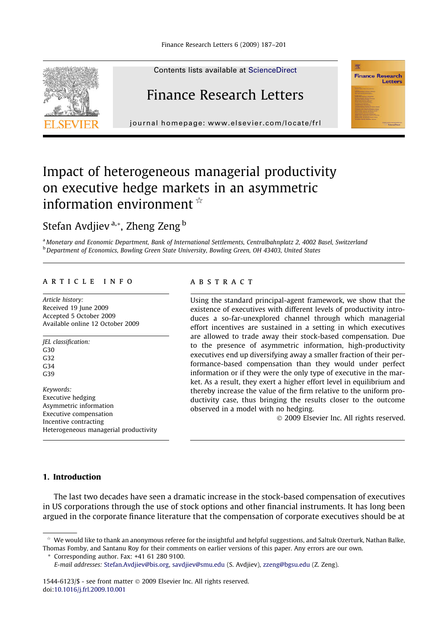

Contents lists available at [ScienceDirect](http://www.sciencedirect.com/science/journal/15446123)

## Finance Research Letters

journal homepage: [www.elsevier.com/locate/frl](http://www.elsevier.com/locate/frl)

# Impact of heterogeneous managerial productivity on executive hedge markets in an asymmetric information environment  $\mathbb{R}$

### Stefan Avdjiev<sup>a,\*</sup>, Zheng Zeng<sup>b</sup>

<sup>a</sup> Monetary and Economic Department, Bank of International Settlements, Centralbahnplatz 2, 4002 Basel, Switzerland <sup>b</sup> Department of Economics, Bowling Green State University, Bowling Green, OH 43403, United States

#### article info

Article history: Received 19 June 2009 Accepted 5 October 2009 Available online 12 October 2009

JEL classification: G30 G32  $C34$ G39 Keywords:

Executive hedging Asymmetric information Executive compensation Incentive contracting Heterogeneous managerial productivity

#### **ABSTRACT**

Using the standard principal-agent framework, we show that the existence of executives with different levels of productivity introduces a so-far-unexplored channel through which managerial effort incentives are sustained in a setting in which executives are allowed to trade away their stock-based compensation. Due to the presence of asymmetric information, high-productivity executives end up diversifying away a smaller fraction of their performance-based compensation than they would under perfect information or if they were the only type of executive in the market. As a result, they exert a higher effort level in equilibrium and thereby increase the value of the firm relative to the uniform productivity case, thus bringing the results closer to the outcome observed in a model with no hedging.

© 2009 Elsevier Inc. All rights reserved.

**Finance Research** Letters

#### 1. Introduction

The last two decades have seen a dramatic increase in the stock-based compensation of executives in US corporations through the use of stock options and other financial instruments. It has long been argued in the corporate finance literature that the compensation of corporate executives should be at

Corresponding author. Fax:  $+41$  61 280 9100.

 $*$  We would like to thank an anonymous referee for the insightful and helpful suggestions, and Saltuk Ozerturk, Nathan Balke, Thomas Fomby, and Santanu Roy for their comments on earlier versions of this paper. Any errors are our own.

E-mail addresses: [Stefan.Avdjiev@bis.org](mailto:Stefan.Avdjiev@bis.org), [savdjiev@smu.edu](mailto:savdjiev@smu.edu) (S. Avdjiev), [zzeng@bgsu.edu](mailto:zzeng@bgsu.edu) (Z. Zeng).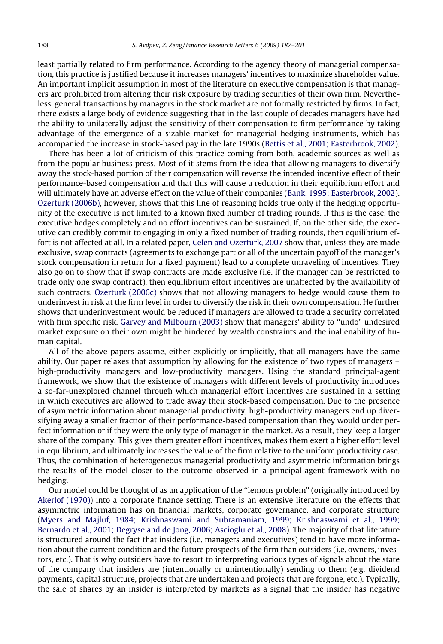least partially related to firm performance. According to the agency theory of managerial compensation, this practice is justified because it increases managers' incentives to maximize shareholder value. An important implicit assumption in most of the literature on executive compensation is that managers are prohibited from altering their risk exposure by trading securities of their own firm. Nevertheless, general transactions by managers in the stock market are not formally restricted by firms. In fact, there exists a large body of evidence suggesting that in the last couple of decades managers have had the ability to unilaterally adjust the sensitivity of their compensation to firm performance by taking advantage of the emergence of a sizable market for managerial hedging instruments, which has accompanied the increase in stock-based pay in the late 1990s ([Bettis et al., 2001; Easterbrook, 2002](#page--1-0)).

There has been a lot of criticism of this practice coming from both, academic sources as well as from the popular business press. Most of it stems from the idea that allowing managers to diversify away the stock-based portion of their compensation will reverse the intended incentive effect of their performance-based compensation and that this will cause a reduction in their equilibrium effort and will ultimately have an adverse effect on the value of their companies ([Bank, 1995; Easterbrook, 2002](#page--1-0)). [Ozerturk \(2006b\)](#page--1-0), however, shows that this line of reasoning holds true only if the hedging opportunity of the executive is not limited to a known fixed number of trading rounds. If this is the case, the executive hedges completely and no effort incentives can be sustained. If, on the other side, the executive can credibly commit to engaging in only a fixed number of trading rounds, then equilibrium effort is not affected at all. In a related paper, [Celen and Ozerturk, 2007](#page--1-0) show that, unless they are made exclusive, swap contracts (agreements to exchange part or all of the uncertain payoff of the manager's stock compensation in return for a fixed payment) lead to a complete unraveling of incentives. They also go on to show that if swap contracts are made exclusive (i.e. if the manager can be restricted to trade only one swap contract), then equilibrium effort incentives are unaffected by the availability of such contracts. [Ozerturk \(2006c\)](#page--1-0) shows that not allowing managers to hedge would cause them to underinvest in risk at the firm level in order to diversify the risk in their own compensation. He further shows that underinvestment would be reduced if managers are allowed to trade a security correlated with firm specific risk. [Garvey and Milbourn \(2003\)](#page--1-0) show that managers' ability to ''undo" undesired market exposure on their own might be hindered by wealth constraints and the inalienability of human capital.

All of the above papers assume, either explicitly or implicitly, that all managers have the same ability. Our paper relaxes that assumption by allowing for the existence of two types of managers – high-productivity managers and low-productivity managers. Using the standard principal-agent framework, we show that the existence of managers with different levels of productivity introduces a so-far-unexplored channel through which managerial effort incentives are sustained in a setting in which executives are allowed to trade away their stock-based compensation. Due to the presence of asymmetric information about managerial productivity, high-productivity managers end up diversifying away a smaller fraction of their performance-based compensation than they would under perfect information or if they were the only type of manager in the market. As a result, they keep a larger share of the company. This gives them greater effort incentives, makes them exert a higher effort level in equilibrium, and ultimately increases the value of the firm relative to the uniform productivity case. Thus, the combination of heterogeneous managerial productivity and asymmetric information brings the results of the model closer to the outcome observed in a principal-agent framework with no hedging.

Our model could be thought of as an application of the ''lemons problem" (originally introduced by [Akerlof \(1970\)](#page--1-0)) into a corporate finance setting. There is an extensive literature on the effects that asymmetric information has on financial markets, corporate governance, and corporate structure ([Myers and Majluf, 1984; Krishnaswami and Subramaniam, 1999; Krishnaswami et al., 1999;](#page--1-0) [Bernardo et al., 2001; Degryse and de Jong, 2006; Ascioglu et al., 2008](#page--1-0)). The majority of that literature is structured around the fact that insiders (i.e. managers and executives) tend to have more information about the current condition and the future prospects of the firm than outsiders (i.e. owners, investors, etc.). That is why outsiders have to resort to interpreting various types of signals about the state of the company that insiders are (intentionally or unintentionally) sending to them (e.g. dividend payments, capital structure, projects that are undertaken and projects that are forgone, etc.). Typically, the sale of shares by an insider is interpreted by markets as a signal that the insider has negative